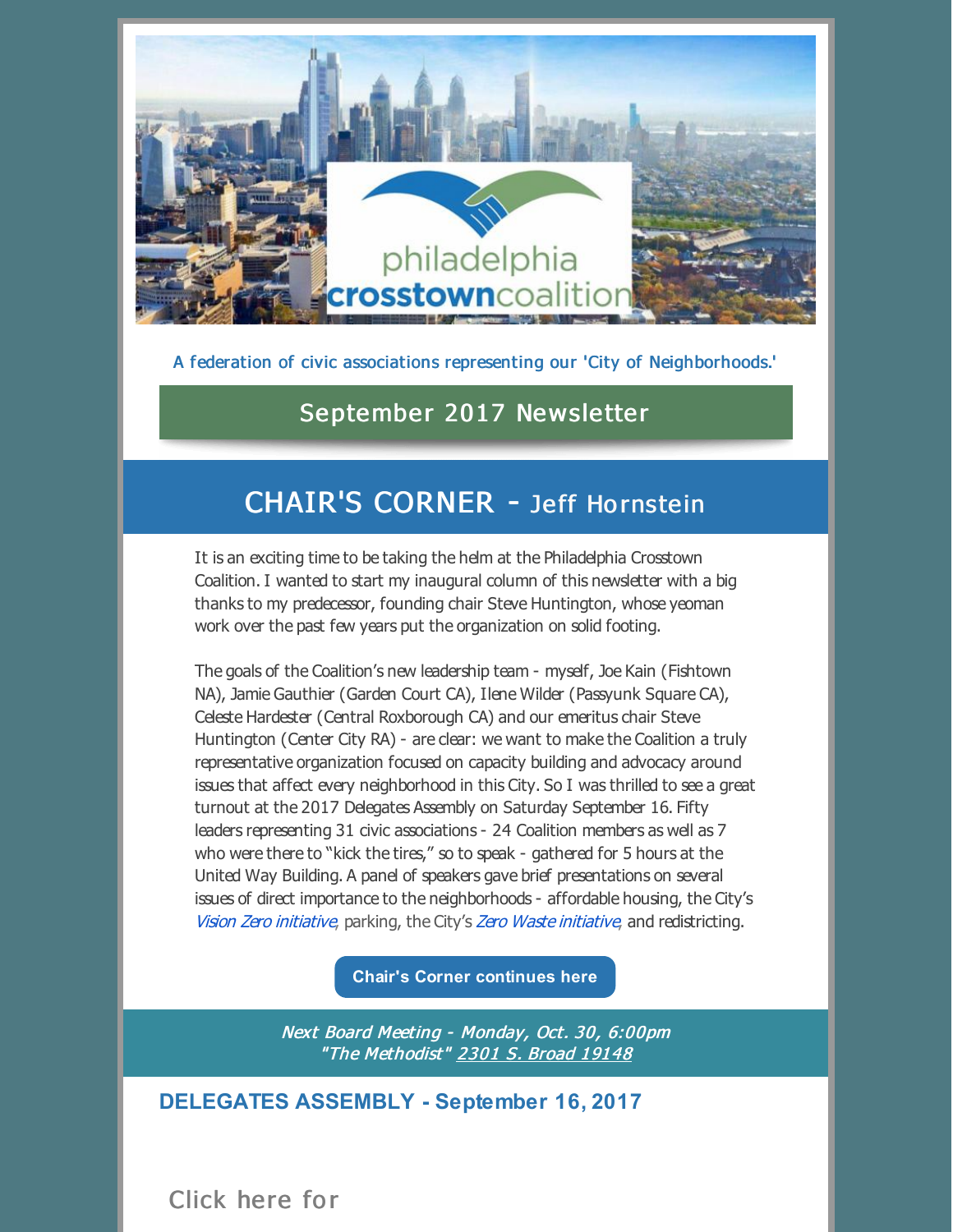

A federation of civic associations representing our 'City of Neighborhoods.'

## September 2017 Newsletter

# CHAIR'S CORNER - Jeff Hornstein

It is an exciting time to be taking the helm at the Philadelphia Crosstown Coalition. I wanted to start my inaugural column of this newsletter with a big thanks to my predecessor, founding chair Steve Huntington, whose yeoman work over the past few years put the organization on solid footing.

The goals of the Coalition's new leadership team - myself, Joe Kain (Fishtown NA), Jamie Gauthier (Garden Court CA), Ilene Wilder (Passyunk Square CA), Celeste Hardester (Central Roxborough CA) and our emeritus chair Steve Huntington (Center City RA) - are clear: we want to make the Coalition a truly representative organization focused on capacity building and advocacy around issues that affect every neighborhood in this City. So I was thrilled to see a great turnout at the 2017 Delegates Assembly on Saturday September 16. Fifty leaders representing 31 civic associations - 24 Coalition members as well as 7 who were there to "kick the tires," so to speak - gathered for 5 hours at the United Way Building. A panel of speakers gave brief presentations on several issues of direct importance to the neighborhoods - affordable housing, the City's Vision Zero [initiative](http://cleanphl.org/), parking, the City's Zero Waste initiative, and redistricting.

**Chair's Corner [continues](http://files.constantcontact.com/e45d3cec401/cc1112e5-6168-470f-a1a4-799d03324feb.pdf) here**

Next Board Meeting - [Monday,](https://www.google.com/maps/place/2301+S+Broad+St,+Philadelphia,+PA+19148/@39.9212011,-75.1718633,17z/data=!3m1!4b1!4m5!3m4!1s0x89c6c609ba5a03e7:0xfc86b94b0938eeb9!8m2!3d39.9212011!4d-75.1696746) Oct. 30, 6:00pm "The [Methodist"](https://www.google.com/maps/place/2301+S+Broad+St,+Philadelphia,+PA+19148/@39.9212011,-75.1718633,17z/data=!3m1!4b1!4m5!3m4!1s0x89c6c609ba5a03e7:0xfc86b94b0938eeb9!8m2!3d39.9212011!4d-75.1696746) 2301 S. [Broad](https://www.google.com/maps/place/2301+S+Broad+St,+Philadelphia,+PA+19148/@39.9212011,-75.1718633,17z/data=!3m1!4b1!4m5!3m4!1s0x89c6c609ba5a03e7:0xfc86b94b0938eeb9!8m2!3d39.9212011!4d-75.1696746) 19148

**DELEGATES ASSEMBLY - September 16, 2017**

Click here for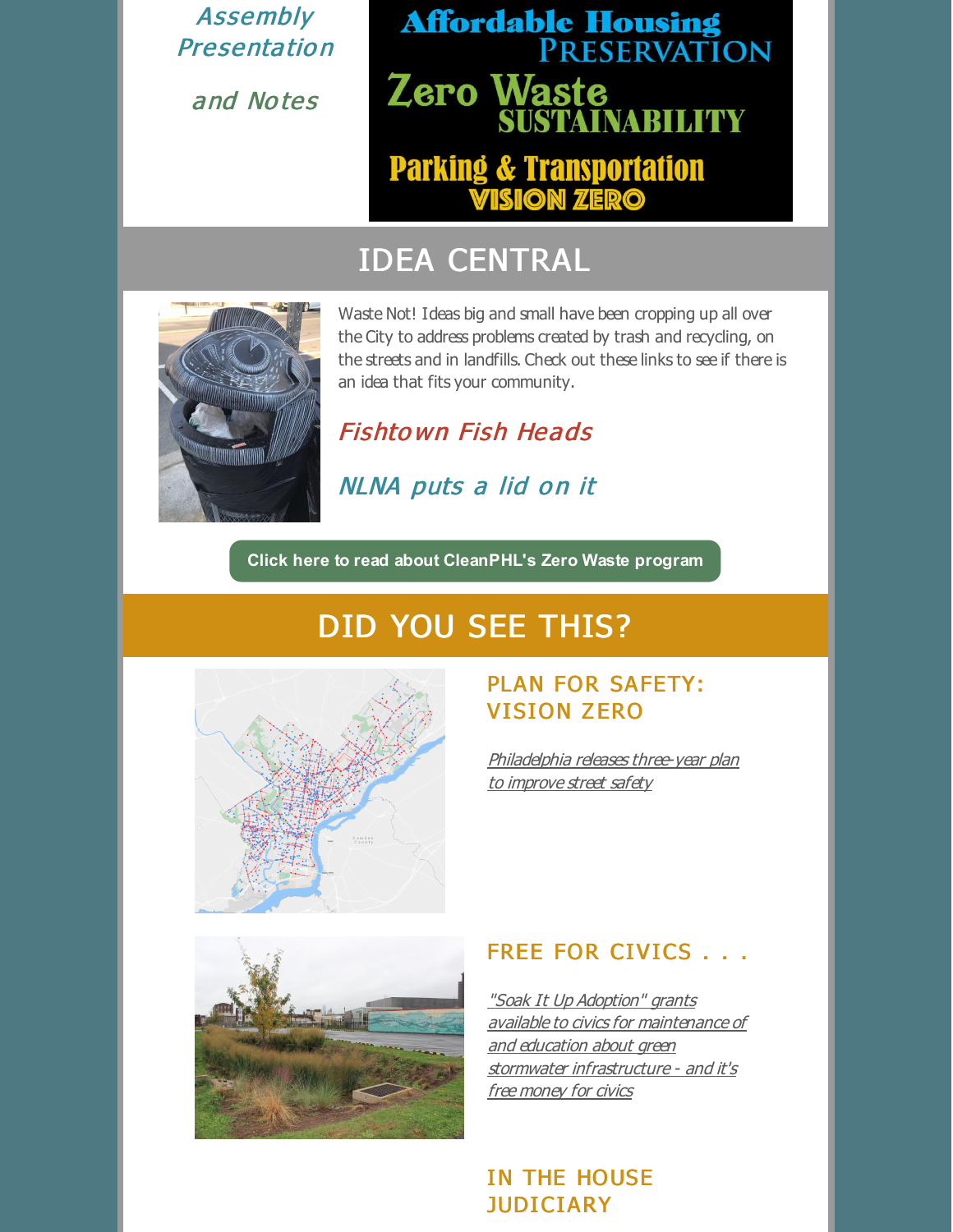[Assembly](http://files.constantcontact.com/e45d3cec401/6d1f82cd-cdac-49bc-93a9-98c6ad78476a.pdf) **Presentation** 

[and](http://files.constantcontact.com/e45d3cec401/43e361d4-c1d0-423b-8856-f508aa79876e.pdf) No tes

# **Affordable Housing<br>PRESERVATION** Zero Waste **INABILITY Parking & Transportation<br>WISION ZERO**

# IDEA CENTRAL



Waste Not! I deas big and small have been cropping up all over the City to address problems created by trash and recycling, on the streets and in landfills. Check out these links to see if there is an idea that fits your community.

Fishto wn Fish [Heads](https://starnewsphilly.com/fna-baits-artists-for-feed-the-fish-project-aa2c25b94d3e)

NLNA [puts](http://www.nlna.org/new-recycling-program-at-the-community-center-bins-with-lids/) a lid on it

**Click here to read about [CleanPHL's](http://cleanphl.org) Zero Waste program**

# DID YOU SEE THIS?



#### PLAN FOR SAFETY: **VISION ZERO**

[Philadelphia](http://www.philly.com/philly/business/transportation/448469143.html) releases three-year plan to improve street safety



#### FREE FOR CIVICS . . .

"Soak It Up Adoption" grants available to civics for maintenance of and education about green stormwater [infrastructure](https://docs.google.com/document/d/1bsQnFUUz72oSaoOe32demlxsFX9WnH-1XPq7C9CIauo/edit#) - and it's free money for civics

#### IN THE HOUSE JUDICIARY